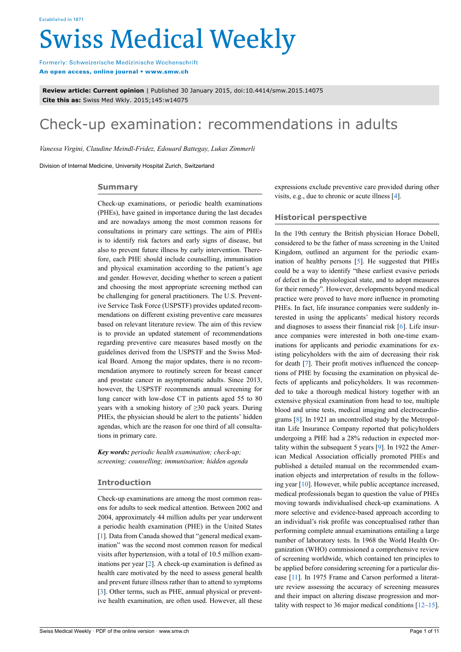# **Swiss Medical Weekly**

Formerly: Schweizerische Medizinische Wochenschrift An open access, online journal • www.smw.ch

**Review article: Current opinion** | Published 30 January 2015, doi:10.4414/smw.2015.14075 **Cite this as:** Swiss Med Wkly. 2015;145:w14075

# Check-up examination: recommendations in adults

*Vanessa Virgini, Claudine Meindl-Fridez, Edouard Battegay, Lukas Zimmerli*

Division of Internal Medicine, University Hospital Zurich, Switzerland

# **Summary**

Check-up examinations, or periodic health examinations (PHEs), have gained in importance during the last decades and are nowadays among the most common reasons for consultations in primary care settings. The aim of PHEs is to identify risk factors and early signs of disease, but also to prevent future illness by early intervention. Therefore, each PHE should include counselling, immunisation and physical examination according to the patient's age and gender. However, deciding whether to screen a patient and choosing the most appropriate screening method can be challenging for general practitioners. The U.S. Preventive Service Task Force (USPSTF) provides updated recommendations on different existing preventive care measures based on relevant literature review. The aim of this review is to provide an updated statement of recommendations regarding preventive care measures based mostly on the guidelines derived from the USPSTF and the Swiss Medical Board. Among the major updates, there is no recommendation anymore to routinely screen for breast cancer and prostate cancer in asymptomatic adults. Since 2013, however, the USPSTF recommends annual screening for lung cancer with low-dose CT in patients aged 55 to 80 years with a smoking history of  $\geq$ 30 pack years. During PHEs, the physician should be alert to the patients' hidden agendas, which are the reason for one third of all consultations in primary care.

*Key words: periodic health examination; check-up; screening; counselling; immunisation; hidden agenda*

# **Introduction**

Check-up examinations are among the most common reasons for adults to seek medical attention. Between 2002 and 2004, approximately 44 million adults per year underwent a periodic health examination (PHE) in the United States [\[1\]](#page-8-0). Data from Canada showed that "general medical examination" was the second most common reason for medical visits after hypertension, with a total of 10.5 million examinations per year [\[2\]](#page-8-1). A check-up examination is defined as health care motivated by the need to assess general health and prevent future illness rather than to attend to symptoms [\[3\]](#page-8-2). Other terms, such as PHE, annual physical or preventive health examination, are often used. However, all these expressions exclude preventive care provided during other visits, e.g., due to chronic or acute illness [[4](#page-8-3)].

# **Historical perspective**

In the 19th century the British physician Horace Dobell, considered to be the father of mass screening in the United Kingdom, outlined an argument for the periodic examination of healthy persons [[5](#page-8-4)]. He suggested that PHEs could be a way to identify "these earliest evasive periods of defect in the physiological state, and to adopt measures for their remedy". However, developments beyond medical practice were proved to have more influence in promoting PHEs. In fact, life insurance companies were suddenly interested in using the applicants' medical history records and diagnoses to assess their financial risk [[6](#page-8-5)]. Life insurance companies were interested in both one-time examinations for applicants and periodic examinations for existing policyholders with the aim of decreasing their risk for death [[7](#page-8-6)]. Their profit motives influenced the conceptions of PHE by focusing the examination on physical defects of applicants and policyholders. It was recommended to take a thorough medical history together with an extensive physical examination from head to toe, multiple blood and urine tests, medical imaging and electrocardiograms [\[8\]](#page-8-7). In 1921 an uncontrolled study by the Metropolitan Life Insurance Company reported that policyholders undergoing a PHE had a 28% reduction in expected mortality within the subsequent 5 years [[9](#page-8-8)]. In 1922 the American Medical Association officially promoted PHEs and published a detailed manual on the recommended examination objects and interpretation of results in the following year [[10\]](#page-8-9). However, while public acceptance increased, medical professionals began to question the value of PHEs moving towards individualised check-up examinations. A more selective and evidence-based approach according to an individual's risk profile was conceptualised rather than performing complete annual examinations entailing a large number of laboratory tests. In 1968 the World Health Organization (WHO) commissioned a comprehensive review of screening worldwide, which contained ten principles to be applied before considering screening for a particular disease [\[11\]](#page-8-10). In 1975 Frame and Carson performed a literature review assessing the accuracy of screening measures and their impact on altering disease progression and mortality with respect to 36 major medical conditions [\[12](#page-8-11)–[15\]](#page-8-12).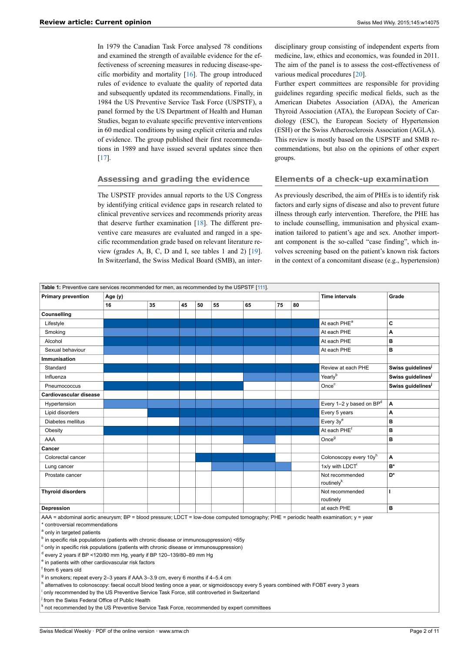In 1979 the Canadian Task Force analysed 78 conditions and examined the strength of available evidence for the effectiveness of screening measures in reducing disease-specific morbidity and mortality [\[16](#page-8-13)]. The group introduced rules of evidence to evaluate the quality of reported data and subsequently updated its recommendations. Finally, in 1984 the US Preventive Service Task Force (USPSTF), a panel formed by the US Department of Health and Human Studies, began to evaluate specific preventive interventions in 60 medical conditions by using explicit criteria and rules of evidence. The group published their first recommendations in 1989 and have issued several updates since then [\[17](#page-8-14)].

# **Assessing and grading the evidence**

The USPSTF provides annual reports to the US Congress by identifying critical evidence gaps in research related to clinical preventive services and recommends priority areas that deserve further examination [[18\]](#page-8-15). The different preventive care measures are evaluated and ranged in a specific recommendation grade based on relevant literature review (grades A, B, C, D and I, see tables 1 and 2) [\[19](#page-8-16)]. In Switzerland, the Swiss Medical Board (SMB), an inter-

disciplinary group consisting of independent experts from medicine, law, ethics and economics, was founded in 2011. The aim of the panel is to assess the cost-effectiveness of various medical procedures [[20\]](#page-8-17).

Further expert committees are responsible for providing guidelines regarding specific medical fields, such as the American Diabetes Association (ADA), the American Thyroid Association (ATA), the European Society of Cardiology (ESC), the European Society of Hypertension (ESH) or the Swiss Atherosclerosis Association (AGLA). This review is mostly based on the USPSTF and SMB recommendations, but also on the opinions of other expert groups.

# **Elements of a check-up examination**

As previously described, the aim of PHEs is to identify risk factors and early signs of disease and also to prevent future illness through early intervention. Therefore, the PHE has to include counselling, immunisation and physical examination tailored to patient's age and sex. Another important component is the so-called "case finding", which involves screening based on the patient's known risk factors in the context of a concomitant disease (e.g., hypertension)

|                                                                                                                                                                                                                                                                                                                                                                                                                                                                                                                                                                                                                                                                                                      |                                                                                             | Table 1: Preventive care services recommended for men, as recommended by the USPSTF [111]. |    |                       |       |    |    |    |                                                                                                                                        |                               |
|------------------------------------------------------------------------------------------------------------------------------------------------------------------------------------------------------------------------------------------------------------------------------------------------------------------------------------------------------------------------------------------------------------------------------------------------------------------------------------------------------------------------------------------------------------------------------------------------------------------------------------------------------------------------------------------------------|---------------------------------------------------------------------------------------------|--------------------------------------------------------------------------------------------|----|-----------------------|-------|----|----|----|----------------------------------------------------------------------------------------------------------------------------------------|-------------------------------|
| <b>Primary prevention</b>                                                                                                                                                                                                                                                                                                                                                                                                                                                                                                                                                                                                                                                                            | Age (y)                                                                                     |                                                                                            |    | <b>Time intervals</b> | Grade |    |    |    |                                                                                                                                        |                               |
|                                                                                                                                                                                                                                                                                                                                                                                                                                                                                                                                                                                                                                                                                                      | 16                                                                                          | 35                                                                                         | 45 | 50                    | 55    | 65 | 75 | 80 |                                                                                                                                        |                               |
| Counselling                                                                                                                                                                                                                                                                                                                                                                                                                                                                                                                                                                                                                                                                                          |                                                                                             |                                                                                            |    |                       |       |    |    |    |                                                                                                                                        |                               |
| Lifestyle                                                                                                                                                                                                                                                                                                                                                                                                                                                                                                                                                                                                                                                                                            |                                                                                             |                                                                                            |    |                       |       |    |    |    | At each PHE <sup>a</sup>                                                                                                               | C                             |
| Smoking                                                                                                                                                                                                                                                                                                                                                                                                                                                                                                                                                                                                                                                                                              |                                                                                             |                                                                                            |    |                       |       |    |    |    | At each PHE                                                                                                                            | A                             |
| Alcohol                                                                                                                                                                                                                                                                                                                                                                                                                                                                                                                                                                                                                                                                                              |                                                                                             |                                                                                            |    |                       |       |    |    |    | At each PHE                                                                                                                            | в                             |
| Sexual behaviour                                                                                                                                                                                                                                                                                                                                                                                                                                                                                                                                                                                                                                                                                     |                                                                                             |                                                                                            |    |                       |       |    |    |    | At each PHE                                                                                                                            | в                             |
| <b>Immunisation</b>                                                                                                                                                                                                                                                                                                                                                                                                                                                                                                                                                                                                                                                                                  |                                                                                             |                                                                                            |    |                       |       |    |    |    |                                                                                                                                        |                               |
| Standard                                                                                                                                                                                                                                                                                                                                                                                                                                                                                                                                                                                                                                                                                             |                                                                                             |                                                                                            |    |                       |       |    |    |    | Review at each PHE                                                                                                                     | Swiss guidelines <sup>j</sup> |
| Influenza                                                                                                                                                                                                                                                                                                                                                                                                                                                                                                                                                                                                                                                                                            |                                                                                             |                                                                                            |    |                       |       |    |    |    | Yearlyb                                                                                                                                | Swiss guidelines              |
| Pneumococcus                                                                                                                                                                                                                                                                                                                                                                                                                                                                                                                                                                                                                                                                                         |                                                                                             |                                                                                            |    |                       |       |    |    |    | Once <sup>c</sup>                                                                                                                      | Swiss guidelines              |
| Cardiovascular disease                                                                                                                                                                                                                                                                                                                                                                                                                                                                                                                                                                                                                                                                               |                                                                                             |                                                                                            |    |                       |       |    |    |    |                                                                                                                                        |                               |
| Hypertension                                                                                                                                                                                                                                                                                                                                                                                                                                                                                                                                                                                                                                                                                         |                                                                                             |                                                                                            |    |                       |       |    |    |    | Every 1-2 y based on BP <sup>d</sup>                                                                                                   | A                             |
| Lipid disorders                                                                                                                                                                                                                                                                                                                                                                                                                                                                                                                                                                                                                                                                                      |                                                                                             |                                                                                            |    |                       |       |    |    |    | Every 5 years                                                                                                                          | A                             |
| Diabetes mellitus                                                                                                                                                                                                                                                                                                                                                                                                                                                                                                                                                                                                                                                                                    |                                                                                             |                                                                                            |    |                       |       |    |    |    | Every $3v^e$                                                                                                                           | B                             |
| Obesity                                                                                                                                                                                                                                                                                                                                                                                                                                                                                                                                                                                                                                                                                              |                                                                                             |                                                                                            |    |                       |       |    |    |    | At each PHE <sup>†</sup>                                                                                                               | B                             |
| AAA                                                                                                                                                                                                                                                                                                                                                                                                                                                                                                                                                                                                                                                                                                  |                                                                                             |                                                                                            |    |                       |       |    |    |    | Once <sup>g</sup>                                                                                                                      | B                             |
| Cancer                                                                                                                                                                                                                                                                                                                                                                                                                                                                                                                                                                                                                                                                                               |                                                                                             |                                                                                            |    |                       |       |    |    |    |                                                                                                                                        |                               |
| Colorectal cancer                                                                                                                                                                                                                                                                                                                                                                                                                                                                                                                                                                                                                                                                                    |                                                                                             |                                                                                            |    |                       |       |    |    |    | Colonoscopy every 10yh                                                                                                                 | A                             |
| Lung cancer                                                                                                                                                                                                                                                                                                                                                                                                                                                                                                                                                                                                                                                                                          |                                                                                             |                                                                                            |    |                       |       |    |    |    | 1x/y with LDCT <sup>i</sup>                                                                                                            | B*                            |
| Prostate cancer                                                                                                                                                                                                                                                                                                                                                                                                                                                                                                                                                                                                                                                                                      |                                                                                             |                                                                                            |    |                       |       |    |    |    | Not recommended<br>routinely <sup>k</sup>                                                                                              | D*                            |
| <b>Thyroid disorders</b>                                                                                                                                                                                                                                                                                                                                                                                                                                                                                                                                                                                                                                                                             |                                                                                             |                                                                                            |    |                       |       |    |    |    | Not recommended<br>routinely                                                                                                           | $\mathbf{I}$                  |
| Depression                                                                                                                                                                                                                                                                                                                                                                                                                                                                                                                                                                                                                                                                                           |                                                                                             |                                                                                            |    |                       |       |    |    |    | at each PHE                                                                                                                            | B                             |
| * controversial recommendations<br><sup>a</sup> only in targeted patients<br><sup>b</sup> in specific risk populations (patients with chronic disease or immunosuppression) <65y<br>c only in specific risk populations (patients with chronic disease or immunosuppression)<br>$^{\text{d}}$ every 2 years if BP <120/80 mm Hg, yearly if BP 120-139/80-89 mm Hg<br><sup>e</sup> in patients with other cardiovascular risk factors<br>f from 6 years old<br><sup>9</sup> in smokers; repeat every 2-3 years if AAA 3-3.9 cm, every 6 months if 4-5.4 cm<br>h alternatives to colonoscopy: faecal occult blood testing once a year, or sigmoidoscopy every 5 years combined with FOBT every 3 years | only recommended by the US Preventive Service Task Force, still controverted in Switzerland |                                                                                            |    |                       |       |    |    |    | AAA = abdominal aortic aneurysm; BP = blood pressure; LDCT = low-dose computed tomography; PHE = periodic health examination; y = year |                               |

<sup>k</sup> not recommended by the US Preventive Service Task Force, recommended by expert committees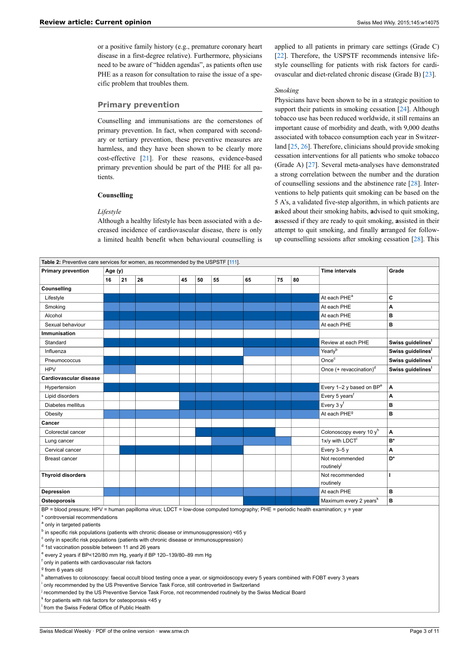or a positive family history (e.g., premature coronary heart disease in a first-degree relative). Furthermore, physicians need to be aware of "hidden agendas", as patients often use PHE as a reason for consultation to raise the issue of a specific problem that troubles them.

# **Primary prevention**

Counselling and immunisations are the cornerstones of primary prevention. In fact, when compared with secondary or tertiary prevention, these preventive measures are harmless, and they have been shown to be clearly more cost-effective [[21\]](#page-8-18). For these reasons, evidence-based primary prevention should be part of the PHE for all patients.

#### **Counselling**

#### *Lifestyle*

Although a healthy lifestyle has been associated with a decreased incidence of cardiovascular disease, there is only a limited health benefit when behavioural counselling is applied to all patients in primary care settings (Grade C) [[22\]](#page-8-19). Therefore, the USPSTF recommends intensive lifestyle counselling for patients with risk factors for cardiovascular and diet-related chronic disease (Grade B) [[23\]](#page-8-20).

#### *Smoking*

Physicians have been shown to be in a strategic position to support their patients in smoking cessation [\[24](#page-8-21)]. Although tobacco use has been reduced worldwide, it still remains an important cause of morbidity and death, with 9,000 deaths associated with tobacco consumption each year in Switzerland [\[25](#page-8-22), [26](#page-8-23)]. Therefore, clinicians should provide smoking cessation interventions for all patients who smoke tobacco (Grade A) [[27\]](#page-8-24). Several meta-analyses have demonstrated a strong correlation between the number and the duration of counselling sessions and the abstinence rate [\[28](#page-8-25)]. Interventions to help patients quit smoking can be based on the 5 A's, a validated five-step algorithm, in which patients are **a**sked about their smoking habits, **a**dvised to quit smoking, **a**ssessed if they are ready to quit smoking, **a**ssisted in their attempt to quit smoking, and finally **a**rranged for followup counselling sessions after smoking cessation [\[28](#page-8-25)]. This

| <b>Primary prevention</b>                                                                                                                                                                                                                                                                                                                                                                                                                                                                                                                                                                                                                                                                                                                                                                                                                                                                                                                                                                                                                                                                      | Age (y) |    |    |    | <b>Time intervals</b> | Grade |    |    |    |                                      |                               |
|------------------------------------------------------------------------------------------------------------------------------------------------------------------------------------------------------------------------------------------------------------------------------------------------------------------------------------------------------------------------------------------------------------------------------------------------------------------------------------------------------------------------------------------------------------------------------------------------------------------------------------------------------------------------------------------------------------------------------------------------------------------------------------------------------------------------------------------------------------------------------------------------------------------------------------------------------------------------------------------------------------------------------------------------------------------------------------------------|---------|----|----|----|-----------------------|-------|----|----|----|--------------------------------------|-------------------------------|
|                                                                                                                                                                                                                                                                                                                                                                                                                                                                                                                                                                                                                                                                                                                                                                                                                                                                                                                                                                                                                                                                                                | 16      | 21 | 26 | 45 | 50                    | 55    | 65 | 75 | 80 |                                      |                               |
| Counselling                                                                                                                                                                                                                                                                                                                                                                                                                                                                                                                                                                                                                                                                                                                                                                                                                                                                                                                                                                                                                                                                                    |         |    |    |    |                       |       |    |    |    |                                      |                               |
| Lifestyle                                                                                                                                                                                                                                                                                                                                                                                                                                                                                                                                                                                                                                                                                                                                                                                                                                                                                                                                                                                                                                                                                      |         |    |    |    |                       |       |    |    |    | At each PHE <sup>a</sup>             | C                             |
| Smoking                                                                                                                                                                                                                                                                                                                                                                                                                                                                                                                                                                                                                                                                                                                                                                                                                                                                                                                                                                                                                                                                                        |         |    |    |    |                       |       |    |    |    | At each PHE                          | A                             |
| Alcohol                                                                                                                                                                                                                                                                                                                                                                                                                                                                                                                                                                                                                                                                                                                                                                                                                                                                                                                                                                                                                                                                                        |         |    |    |    |                       |       |    |    |    | At each PHE                          | B                             |
| Sexual behaviour                                                                                                                                                                                                                                                                                                                                                                                                                                                                                                                                                                                                                                                                                                                                                                                                                                                                                                                                                                                                                                                                               |         |    |    |    |                       |       |    |    |    | At each PHE                          | B                             |
| Immunisation                                                                                                                                                                                                                                                                                                                                                                                                                                                                                                                                                                                                                                                                                                                                                                                                                                                                                                                                                                                                                                                                                   |         |    |    |    |                       |       |    |    |    |                                      |                               |
| Standard                                                                                                                                                                                                                                                                                                                                                                                                                                                                                                                                                                                                                                                                                                                                                                                                                                                                                                                                                                                                                                                                                       |         |    |    |    |                       |       |    |    |    | Review at each PHE                   | Swiss guidelines <sup>1</sup> |
| Influenza                                                                                                                                                                                                                                                                                                                                                                                                                                                                                                                                                                                                                                                                                                                                                                                                                                                                                                                                                                                                                                                                                      |         |    |    |    |                       |       |    |    |    | Yearlyb                              | Swiss guidelines <sup>1</sup> |
| Pneumococcus                                                                                                                                                                                                                                                                                                                                                                                                                                                                                                                                                                                                                                                                                                                                                                                                                                                                                                                                                                                                                                                                                   |         |    |    |    |                       |       |    |    |    | Once <sup>c</sup>                    | Swiss guidelines <sup>1</sup> |
| <b>HPV</b>                                                                                                                                                                                                                                                                                                                                                                                                                                                                                                                                                                                                                                                                                                                                                                                                                                                                                                                                                                                                                                                                                     |         |    |    |    |                       |       |    |    |    | Once (+ revaccination) <sup>d</sup>  | Swiss guidelines              |
| Cardiovascular disease                                                                                                                                                                                                                                                                                                                                                                                                                                                                                                                                                                                                                                                                                                                                                                                                                                                                                                                                                                                                                                                                         |         |    |    |    |                       |       |    |    |    |                                      |                               |
| Hypertension                                                                                                                                                                                                                                                                                                                                                                                                                                                                                                                                                                                                                                                                                                                                                                                                                                                                                                                                                                                                                                                                                   |         |    |    |    |                       |       |    |    |    | Every 1-2 y based on BP <sup>e</sup> | A                             |
| Lipid disorders                                                                                                                                                                                                                                                                                                                                                                                                                                                                                                                                                                                                                                                                                                                                                                                                                                                                                                                                                                                                                                                                                |         |    |    |    |                       |       |    |    |    | Every 5 years <sup>f</sup>           | A                             |
| Diabetes mellitus                                                                                                                                                                                                                                                                                                                                                                                                                                                                                                                                                                                                                                                                                                                                                                                                                                                                                                                                                                                                                                                                              |         |    |    |    |                       |       |    |    |    | Every $3y^t$                         | B                             |
| Obesity                                                                                                                                                                                                                                                                                                                                                                                                                                                                                                                                                                                                                                                                                                                                                                                                                                                                                                                                                                                                                                                                                        |         |    |    |    |                       |       |    |    |    | At each PHE <sup>9</sup>             | B                             |
| Cancer                                                                                                                                                                                                                                                                                                                                                                                                                                                                                                                                                                                                                                                                                                                                                                                                                                                                                                                                                                                                                                                                                         |         |    |    |    |                       |       |    |    |    |                                      |                               |
| Colorectal cancer                                                                                                                                                                                                                                                                                                                                                                                                                                                                                                                                                                                                                                                                                                                                                                                                                                                                                                                                                                                                                                                                              |         |    |    |    |                       |       |    |    |    | Colonoscopy every 10 yh              | A                             |
| Lung cancer                                                                                                                                                                                                                                                                                                                                                                                                                                                                                                                                                                                                                                                                                                                                                                                                                                                                                                                                                                                                                                                                                    |         |    |    |    |                       |       |    |    |    | 1x/y with LDCT <sup>1</sup>          | B*                            |
| Cervical cancer                                                                                                                                                                                                                                                                                                                                                                                                                                                                                                                                                                                                                                                                                                                                                                                                                                                                                                                                                                                                                                                                                |         |    |    |    |                       |       |    |    |    | Every $3-5y$                         | A                             |
| Breast cancer                                                                                                                                                                                                                                                                                                                                                                                                                                                                                                                                                                                                                                                                                                                                                                                                                                                                                                                                                                                                                                                                                  |         |    |    |    |                       |       |    |    |    | Not recommended<br>routinely         | D*                            |
| <b>Thyroid disorders</b>                                                                                                                                                                                                                                                                                                                                                                                                                                                                                                                                                                                                                                                                                                                                                                                                                                                                                                                                                                                                                                                                       |         |    |    |    |                       |       |    |    |    | Not recommended<br>routinely         | Ĭ.                            |
| Depression                                                                                                                                                                                                                                                                                                                                                                                                                                                                                                                                                                                                                                                                                                                                                                                                                                                                                                                                                                                                                                                                                     |         |    |    |    |                       |       |    |    |    | At each PHE                          | в                             |
| Osteoporosis                                                                                                                                                                                                                                                                                                                                                                                                                                                                                                                                                                                                                                                                                                                                                                                                                                                                                                                                                                                                                                                                                   |         |    |    |    |                       |       |    |    |    | Maximum every 2 yearsk               | в                             |
| BP = blood pressure; HPV = human papilloma virus; LDCT = low-dose computed tomography; PHE = periodic health examination; y = year<br>* controversial recommendations<br><sup>a</sup> only in targeted patients<br><sup>b</sup> in specific risk populations (patients with chronic disease or immunosuppression) <65 y<br><sup>c</sup> only in specific risk populations (patients with chronic disease or immunosuppression)<br><sup>d</sup> 1st vaccination possible between 11 and 26 years<br>e every 2 years if BP<120/80 mm Hg, yearly if BP 120-139/80-89 mm Hg<br><sup>t</sup> only in patients with cardiovascular risk factors<br><sup>g</sup> from 6 years old<br>h alternatives to colonoscopy: faecal occult blood testing once a year, or sigmoidoscopy every 5 years combined with FOBT every 3 years<br>only recommended by the US Preventive Service Task Force, still controverted in Switzerland<br>recommended by the US Preventive Service Task Force, not recommended routinely by the Swiss Medical Board<br>$k$ for patients with risk factors for osteoporosis <45 y |         |    |    |    |                       |       |    |    |    |                                      |                               |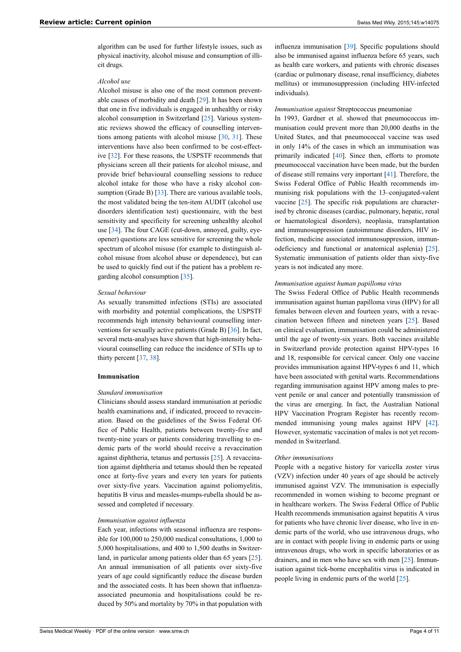algorithm can be used for further lifestyle issues, such as physical inactivity, alcohol misuse and consumption of illicit drugs.

# *Alcohol use*

Alcohol misuse is also one of the most common preventable causes of morbidity and death [[29\]](#page-8-26). It has been shown that one in five individuals is engaged in unhealthy or risky alcohol consumption in Switzerland [\[25](#page-8-22)]. Various systematic reviews showed the efficacy of counselling interventions among patients with alcohol misuse [\[30](#page-8-27), [31\]](#page-8-28). These interventions have also been confirmed to be cost-effective [[32\]](#page-8-29). For these reasons, the USPSTF recommends that physicians screen all their patients for alcohol misuse, and provide brief behavioural counselling sessions to reduce alcohol intake for those who have a risky alcohol con-sumption (Grade B) [[33\]](#page-8-30). There are various available tools, the most validated being the ten-item AUDIT (alcohol use disorders identification test) questionnaire, with the best sensitivity and specificity for screening unhealthy alcohol use [\[34](#page-8-31)]. The four CAGE (cut-down, annoyed, guilty, eyeopener) questions are less sensitive for screening the whole spectrum of alcohol misuse (for example to distinguish alcohol misuse from alcohol abuse or dependence), but can be used to quickly find out if the patient has a problem regarding alcohol consumption [\[35](#page-8-32)].

#### *Sexual behaviour*

As sexually transmitted infections (STIs) are associated with morbidity and potential complications, the USPSTF recommends high intensity behavioural counselling interventions for sexually active patients (Grade B) [\[36](#page-8-33)]. In fact, several meta-analyses have shown that high-intensity behavioural counselling can reduce the incidence of STIs up to thirty percent [[37,](#page-8-34) [38](#page-8-35)].

# **Immunisation**

#### *Standard immunisation*

Clinicians should assess standard immunisation at periodic health examinations and, if indicated, proceed to revaccination. Based on the guidelines of the Swiss Federal Office of Public Health, patients between twenty-five and twenty-nine years or patients considering travelling to endemic parts of the world should receive a revaccination against diphtheria, tetanus and pertussis [\[25](#page-8-22)]. A revaccination against diphtheria and tetanus should then be repeated once at forty-five years and every ten years for patients over sixty-five years. Vaccination against poliomyelitis, hepatitis B virus and measles-mumps-rubella should be assessed and completed if necessary.

#### *Immunisation against influenza*

Each year, infections with seasonal influenza are responsible for 100,000 to 250,000 medical consultations, 1,000 to 5,000 hospitalisations, and 400 to 1,500 deaths in Switzerland, in particular among patients older than 65 years [\[25](#page-8-22)]. An annual immunisation of all patients over sixty-five years of age could significantly reduce the disease burden and the associated costs. It has been shown that influenzaassociated pneumonia and hospitalisations could be reduced by 50% and mortality by 70% in that population with

influenza immunisation [\[39](#page-8-36)]. Specific populations should also be immunised against influenza before 65 years, such as health care workers, and patients with chronic diseases (cardiac or pulmonary disease, renal insufficiency, diabetes mellitus) or immunosuppression (including HIV-infected individuals).

#### *Immunisation against* Streptococcus pneumoniae

In 1993, Gardner et al. showed that pneumococcus immunisation could prevent more than 20,000 deaths in the United States, and that pneumococcal vaccine was used in only 14% of the cases in which an immunisation was primarily indicated [[40\]](#page-9-0). Since then, efforts to promote pneumococcal vaccination have been made, but the burden of disease still remains very important [[41\]](#page-9-1). Therefore, the Swiss Federal Office of Public Health recommends immunising risk populations with the 13–conjugated-valent vaccine [\[25](#page-8-22)]. The specific risk populations are characterised by chronic diseases (cardiac, pulmonary, hepatic, renal or haematological disorders), neoplasia, transplantation and immunosuppression (autoimmune disorders, HIV infection, medicine associated immunosuppression, immunodeficiency and functional or anatomical asplenia) [[25\]](#page-8-22). Systematic immunisation of patients older than sixty-five years is not indicated any more.

#### *Immunisation against human papilloma virus*

The Swiss Federal Office of Public Health recommends immunisation against human papilloma virus (HPV) for all females between eleven and fourteen years, with a revaccination between fifteen and nineteen years [[25\]](#page-8-22). Based on clinical evaluation, immunisation could be administered until the age of twenty-six years. Both vaccines available in Switzerland provide protection against HPV-types 16 and 18, responsible for cervical cancer. Only one vaccine provides immunisation against HPV-types 6 and 11, which have been associated with genital warts. Recommendations regarding immunisation against HPV among males to prevent penile or anal cancer and potentially transmission of the virus are emerging. In fact, the Australian National HPV Vaccination Program Register has recently recommended immunising young males against HPV [[42\]](#page-9-2). However, systematic vaccination of males is not yet recommended in Switzerland.

#### *Other immunisations*

People with a negative history for varicella zoster virus (VZV) infection under 40 years of age should be actively immunised against VZV. The immunisation is especially recommended in women wishing to become pregnant or in healthcare workers. The Swiss Federal Office of Public Health recommends immunisation against hepatitis A virus for patients who have chronic liver disease, who live in endemic parts of the world, who use intravenous drugs, who are in contact with people living in endemic parts or using intravenous drugs, who work in specific laboratories or as drainers, and in men who have sex with men [\[25](#page-8-22)]. Immunisation against tick-borne encephalitis virus is indicated in people living in endemic parts of the world [[25](#page-8-22)].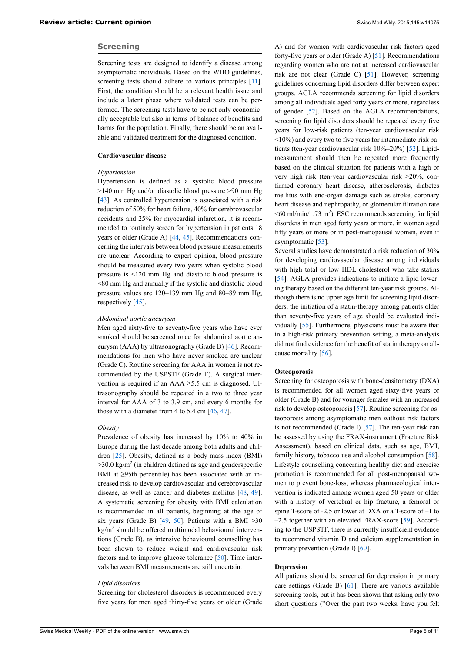#### **Screening**

Screening tests are designed to identify a disease among asymptomatic individuals. Based on the WHO guidelines, screening tests should adhere to various principles [\[11](#page-8-10)]. First, the condition should be a relevant health issue and include a latent phase where validated tests can be performed. The screening tests have to be not only economically acceptable but also in terms of balance of benefits and harms for the population. Finally, there should be an available and validated treatment for the diagnosed condition.

#### **Cardiovascular disease**

#### *Hypertension*

Hypertension is defined as a systolic blood pressure >140 mm Hg and/or diastolic blood pressure >90 mm Hg [\[43](#page-9-3)]. As controlled hypertension is associated with a risk reduction of 50% for heart failure, 40% for cerebrovascular accidents and 25% for myocardial infarction, it is recommended to routinely screen for hypertension in patients 18 years or older (Grade A) [[44,](#page-9-4) [45\]](#page-9-5). Recommendations concerning the intervals between blood pressure measurements are unclear. According to expert opinion, blood pressure should be measured every two years when systolic blood pressure is <120 mm Hg and diastolic blood pressure is <80 mm Hg and annually if the systolic and diastolic blood pressure values are 120–139 mm Hg and 80–89 mm Hg, respectively [[45\]](#page-9-5).

#### *Abdominal aortic aneurysm*

Men aged sixty-five to seventy-five years who have ever smoked should be screened once for abdominal aortic aneurysm (AAA) by ultrasonography (Grade B) [[46\]](#page-9-6). Recommendations for men who have never smoked are unclear (Grade C). Routine screening for AAA in women is not recommended by the USPSTF (Grade E). A surgical intervention is required if an AAA ≥5.5 cm is diagnosed. Ultrasonography should be repeated in a two to three year interval for AAA of 3 to 3.9 cm, and every 6 months for those with a diameter from 4 to 5.4 cm [[46,](#page-9-6) [47](#page-9-7)].

#### *Obesity*

Prevalence of obesity has increased by 10% to 40% in Europe during the last decade among both adults and children [[25\]](#page-8-22). Obesity, defined as a body-mass-index (BMI)  $>$ 30.0 kg/m<sup>2</sup> (in children defined as age and genderspecific BMI at ≥95th percentile) has been associated with an increased risk to develop cardiovascular and cerebrovascular disease, as well as cancer and diabetes mellitus [[48,](#page-9-8) [49](#page-9-9)]. A systematic screening for obesity with BMI calculation is recommended in all patients, beginning at the age of six years (Grade B)  $[49, 50]$  $[49, 50]$  $[49, 50]$  $[49, 50]$  $[49, 50]$ . Patients with a BMI >30  $\text{kg/m}^2$  should be offered multimodal behavioural interventions (Grade B), as intensive behavioural counselling has been shown to reduce weight and cardiovascular risk factors and to improve glucose tolerance [\[50](#page-9-10)]. Time intervals between BMI measurements are still uncertain.

#### *Lipid disorders*

Screening for cholesterol disorders is recommended every five years for men aged thirty-five years or older (Grade

A) and for women with cardiovascular risk factors aged forty-five years or older (Grade A) [[51\]](#page-9-11). Recommendations regarding women who are not at increased cardiovascular risk are not clear (Grade C) [[51\]](#page-9-11). However, screening guidelines concerning lipid disorders differ between expert groups. AGLA recommends screening for lipid disorders among all individuals aged forty years or more, regardless of gender [\[52](#page-9-12)]. Based on the AGLA recommendations, screening for lipid disorders should be repeated every five years for low-risk patients (ten-year cardiovascular risk <10%) and every two to five years for intermediate-risk patients (ten-year cardiovascular risk 10%–20%) [[52\]](#page-9-12). Lipidmeasurement should then be repeated more frequently based on the clinical situation for patients with a high or very high risk (ten-year cardiovascular risk >20%, confirmed coronary heart disease, atherosclerosis, diabetes mellitus with end-organ damage such as stroke, coronary heart disease and nephropathy, or glomerular filtration rate  $\leq 60$  ml/min/1.73 m<sup>2</sup>). ESC recommends screening for lipid disorders in men aged forty years or more, in women aged fifty years or more or in post-menopausal women, even if asymptomatic [\[53](#page-9-13)].

Several studies have demonstrated a risk reduction of 30% for developing cardiovascular disease among individuals with high total or low HDL cholesterol who take statins [[54\]](#page-9-14). AGLA provides indications to initiate a lipid-lowering therapy based on the different ten-year risk groups. Although there is no upper age limit for screening lipid disorders, the initiation of a statin-therapy among patients older than seventy-five years of age should be evaluated individually [[55\]](#page-9-15). Furthermore, physicians must be aware that in a high-risk primary prevention setting, a meta-analysis did not find evidence for the benefit of statin therapy on allcause mortality [[56](#page-9-16)].

#### **Osteoporosis**

Screening for osteoporosis with bone-densitometry (DXA) is recommended for all women aged sixty-five years or older (Grade B) and for younger females with an increased risk to develop osteoporosis [[57\]](#page-9-17). Routine screening for osteoporosis among asymptomatic men without risk factors is not recommended (Grade I) [[57\]](#page-9-17). The ten-year risk can be assessed by using the FRAX-instrument (Fracture Risk Assessment), based on clinical data, such as age, BMI, family history, tobacco use and alcohol consumption [[58\]](#page-9-18). Lifestyle counselling concerning healthy diet and exercise promotion is recommended for all post-menopausal women to prevent bone-loss, whereas pharmacological intervention is indicated among women aged 50 years or older with a history of vertebral or hip fracture, a femoral or spine T-score of -2.5 or lower at DXA or a T-score of –1 to –2.5 together with an elevated FRAX-score [\[59](#page-9-19)]. According to the USPSTF, there is currently insufficient evidence to recommend vitamin D and calcium supplementation in primary prevention (Grade I) [[60\]](#page-9-20).

#### **Depression**

All patients should be screened for depression in primary care settings (Grade B) [[61\]](#page-9-21). There are various available screening tools, but it has been shown that asking only two short questions ("Over the past two weeks, have you felt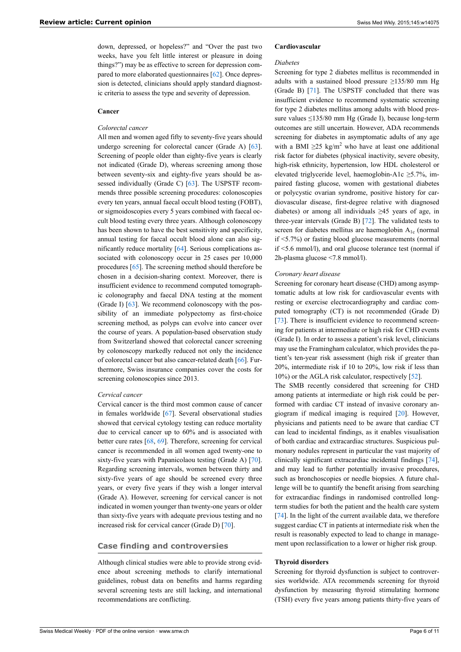down, depressed, or hopeless?" and "Over the past two weeks, have you felt little interest or pleasure in doing things?") may be as effective to screen for depression compared to more elaborated questionnaires [\[62](#page-9-22)]. Once depression is detected, clinicians should apply standard diagnostic criteria to assess the type and severity of depression.

#### **Cancer**

#### *Colorectal cancer*

All men and women aged fifty to seventy-five years should undergo screening for colorectal cancer (Grade A) [\[63](#page-9-0)]. Screening of people older than eighty-five years is clearly not indicated (Grade D), whereas screening among those between seventy-six and eighty-five years should be assessed individually (Grade C) [[63\]](#page-9-0). The USPSTF recommends three possible screening procedures: colonoscopies every ten years, annual faecal occult blood testing (FOBT), or sigmoidoscopies every 5 years combined with faecal occult blood testing every three years. Although colonoscopy has been shown to have the best sensitivity and specificity, annual testing for faecal occult blood alone can also significantly reduce mortality [\[64](#page-9-1)]. Serious complications associated with colonoscopy occur in 25 cases per 10,000 procedures [[65\]](#page-9-2). The screening method should therefore be chosen in a decision-sharing context. Moreover, there is insufficient evidence to recommend computed tomographic colonography and faecal DNA testing at the moment (Grade I) [\[63](#page-9-0)]. We recommend colonoscopy with the possibility of an immediate polypectomy as first-choice screening method, as polyps can evolve into cancer over the course of years. A population-based observation study from Switzerland showed that colorectal cancer screening by colonoscopy markedly reduced not only the incidence of colorectal cancer but also cancer-related death [[66\]](#page-9-23). Furthermore, Swiss insurance companies cover the costs for screening colonoscopies since 2013.

#### *Cervical cancer*

Cervical cancer is the third most common cause of cancer in females worldwide [\[67](#page-9-4)]. Several observational studies showed that cervical cytology testing can reduce mortality due to cervical cancer up to 60% and is associated with better cure rates [\[68](#page-9-24), [69](#page-9-25)]. Therefore, screening for cervical cancer is recommended in all women aged twenty-one to sixty-five years with Papanicolaou testing (Grade A) [\[70](#page-9-7)]. Regarding screening intervals, women between thirty and sixty-five years of age should be screened every three years, or every five years if they wish a longer interval (Grade A). However, screening for cervical cancer is not indicated in women younger than twenty-one years or older than sixty-five years with adequate previous testing and no increased risk for cervical cancer (Grade D) [\[70](#page-9-7)].

# **Case finding and controversies**

Although clinical studies were able to provide strong evidence about screening methods to clarify international guidelines, robust data on benefits and harms regarding several screening tests are still lacking, and international recommendations are conflicting.

#### **Cardiovascular**

#### *Diabetes*

Screening for type 2 diabetes mellitus is recommended in adults with a sustained blood pressure  $\geq$ 135/80 mm Hg (Grade B) [[71\]](#page-9-8). The USPSTF concluded that there was insufficient evidence to recommend systematic screening for type 2 diabetes mellitus among adults with blood pressure values  $\leq$ 135/80 mm Hg (Grade I), because long-term outcomes are still uncertain. However, ADA recommends screening for diabetes in asymptomatic adults of any age with a BMI  $\geq$ 25 kg/m<sup>2</sup> who have at least one additional risk factor for diabetes (physical inactivity, severe obesity, high-risk ethnicity, hypertension, low HDL cholesterol or elevated triglyceride level, haemoglobin-A1c  $\geq$ 5.7%, impaired fasting glucose, women with gestational diabetes or polycystic ovarian syndrome, positive history for cardiovascular disease, first-degree relative with diagnosed diabetes) or among all individuals ≥45 years of age, in three-year intervals (Grade B) [[72\]](#page-9-9). The validated tests to screen for diabetes mellitus are haemoglobin  $A_{1c}$  (normal if <5.7%) or fasting blood glucose measurements (normal if <5.6 mmol/l), and oral glucose tolerance test (normal if 2h-plasma glucose <7.8 mmol/l).

#### *Coronary heart disease*

Screening for coronary heart disease (CHD) among asymptomatic adults at low risk for cardiovascular events with resting or exercise electrocardiography and cardiac computed tomography (CT) is not recommended (Grade D) [[73\]](#page-9-26). There is insufficient evidence to recommend screening for patients at intermediate or high risk for CHD events (Grade I). In order to assess a patient's risk level, clinicians may use the Framingham calculator, which provides the patient's ten-year risk assessment (high risk if greater than 20%, intermediate risk if 10 to 20%, low risk if less than 10%) or the AGLA risk calculator, respectively [[52\]](#page-9-12).

The SMB recently considered that screening for CHD among patients at intermediate or high risk could be performed with cardiac CT instead of invasive coronary angiogram if medical imaging is required [\[20](#page-8-17)]. However, physicians and patients need to be aware that cardiac CT can lead to incidental findings, as it enables visualisation of both cardiac and extracardiac structures. Suspicious pulmonary nodules represent in particular the vast majority of clinically significant extracardiac incidental findings [[74\]](#page-9-27), and may lead to further potentially invasive procedures, such as bronchoscopies or needle biopsies. A future challenge will be to quantify the benefit arising from searching for extracardiac findings in randomised controlled longterm studies for both the patient and the health care system [[74\]](#page-9-27). In the light of the current available data, we therefore suggest cardiac CT in patients at intermediate risk when the result is reasonably expected to lead to change in management upon reclassification to a lower or higher risk group.

#### **Thyroid disorders**

Screening for thyroid dysfunction is subject to controversies worldwide. ATA recommends screening for thyroid dysfunction by measuring thyroid stimulating hormone (TSH) every five years among patients thirty-five years of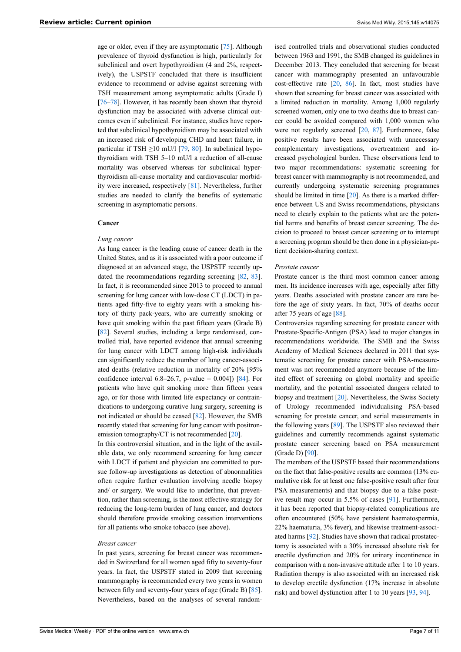age or older, even if they are asymptomatic [[75\]](#page-9-28). Although prevalence of thyroid dysfunction is high, particularly for subclinical and overt hypothyroidism (4 and 2%, respectively), the USPSTF concluded that there is insufficient evidence to recommend or advise against screening with TSH measurement among asymptomatic adults (Grade I) [\[76](#page-9-29)–[78\]](#page-9-30). However, it has recently been shown that thyroid dysfunction may be associated with adverse clinical outcomes even if subclinical. For instance, studies have reported that subclinical hypothyroidism may be associated with an increased risk of developing CHD and heart failure, in particular if TSH  $\geq$ 10 mU/l [\[79](#page-9-31), [80\]](#page-9-32). In subclinical hypothyroidism with TSH 5–10 mU/l a reduction of all-cause mortality was observed whereas for subclinical hyperthyroidism all-cause mortality and cardiovascular morbidity were increased, respectively [[81\]](#page-9-33). Nevertheless, further studies are needed to clarify the benefits of systematic screening in asymptomatic persons.

#### **Cancer**

#### *Lung cancer*

As lung cancer is the leading cause of cancer death in the United States, and as it is associated with a poor outcome if diagnosed at an advanced stage, the USPSTF recently up-dated the recommendations regarding screening [\[82](#page-9-34), [83](#page-9-35)]. In fact, it is recommended since 2013 to proceed to annual screening for lung cancer with low-dose CT (LDCT) in patients aged fifty-five to eighty years with a smoking history of thirty pack-years, who are currently smoking or have quit smoking within the past fifteen years (Grade B) [\[82](#page-9-34)]. Several studies, including a large randomised, controlled trial, have reported evidence that annual screening for lung cancer with LDCT among high-risk individuals can significantly reduce the number of lung cancer-associated deaths (relative reduction in mortality of 20% [95% confidence interval  $6.8-26.7$ , p-value = 0.004]) [\[84](#page-9-36)]. For patients who have quit smoking more than fifteen years ago, or for those with limited life expectancy or contraindications to undergoing curative lung surgery, screening is not indicated or should be ceased [[82\]](#page-9-34). However, the SMB recently stated that screening for lung cancer with positron-emission tomography/CT is not recommended [\[20](#page-8-17)].

In this controversial situation, and in the light of the available data, we only recommend screening for lung cancer with LDCT if patient and physician are committed to pursue follow-up investigations as detection of abnormalities often require further evaluation involving needle biopsy and/ or surgery. We would like to underline, that prevention, rather than screening, is the most effective strategy for reducing the long-term burden of lung cancer, and doctors should therefore provide smoking cessation interventions for all patients who smoke tobacco (see above).

#### *Breast cancer*

In past years, screening for breast cancer was recommended in Switzerland for all women aged fifty to seventy-four years. In fact, the USPSTF stated in 2009 that screening mammography is recommended every two years in women between fifty and seventy-four years of age (Grade B) [\[85](#page-10-1)]. Nevertheless, based on the analyses of several random-

ised controlled trials and observational studies conducted between 1963 and 1991, the SMB changed its guidelines in December 2013. They concluded that screening for breast cancer with mammography presented an unfavourable cost-effective rate [[20,](#page-8-17) [86\]](#page-10-2). In fact, most studies have shown that screening for breast cancer was associated with a limited reduction in mortality. Among 1,000 regularly screened women, only one to two deaths due to breast cancer could be avoided compared with 1,000 women who were not regularly screened [[20,](#page-8-17) [87\]](#page-10-3). Furthermore, false positive results have been associated with unnecessary complementary investigations, overtreatment and increased psychological burden. These observations lead to two major recommendations: systematic screening for breast cancer with mammography is not recommended, and currently undergoing systematic screening programmes should be limited in time  $[20]$  $[20]$ . As there is a marked difference between US and Swiss recommendations, physicians need to clearly explain to the patients what are the potential harms and benefits of breast cancer screening. The decision to proceed to breast cancer screening or to interrupt a screening program should be then done in a physician-patient decision-sharing context.

#### *Prostate cancer*

Prostate cancer is the third most common cancer among men. Its incidence increases with age, especially after fifty years. Deaths associated with prostate cancer are rare before the age of sixty years. In fact, 70% of deaths occur after 75 years of age [\[88](#page-10-4)].

Controversies regarding screening for prostate cancer with Prostate-Specific-Antigen (PSA) lead to major changes in recommendations worldwide. The SMB and the Swiss Academy of Medical Sciences declared in 2011 that systematic screening for prostate cancer with PSA-measurement was not recommended anymore because of the limited effect of screening on global mortality and specific mortality, and the potential associated dangers related to biopsy and treatment [[20\]](#page-8-17). Nevertheless, the Swiss Society of Urology recommended individualising PSA-based screening for prostate cancer, and serial measurements in the following years [\[89](#page-10-5)]. The USPSTF also reviewed their guidelines and currently recommends against systematic prostate cancer screening based on PSA measurement (Grade D) [[90\]](#page-10-6).

The members of the USPSTF based their recommendations on the fact that false-positive results are common (13% cumulative risk for at least one false-positive result after four PSA measurements) and that biopsy due to a false positive result may occur in 5.5% of cases [\[91](#page-10-7)]. Furthermore, it has been reported that biopsy-related complications are often encountered (50% have persistent haematospermia, 22% haematuria, 3% fever), and likewise treatment-associated harms [[92\]](#page-10-8). Studies have shown that radical prostatectomy is associated with a 30% increased absolute risk for erectile dysfunction and 20% for urinary incontinence in comparison with a non-invasive attitude after 1 to 10 years. Radiation therapy is also associated with an increased risk to develop erectile dysfunction (17% increase in absolute risk) and bowel dysfunction after 1 to 10 years [[93,](#page-10-9) [94](#page-10-10)].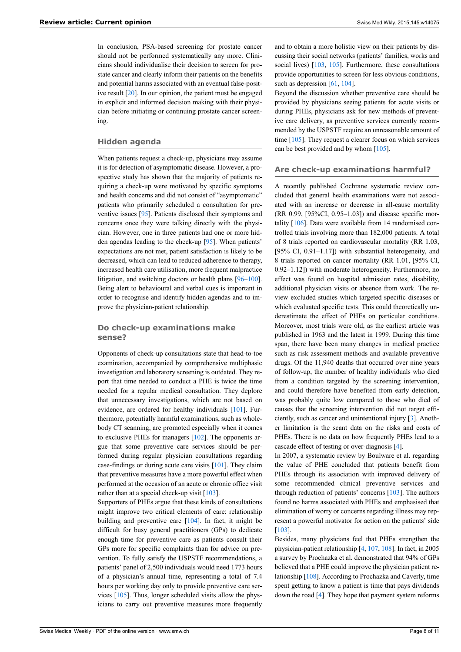In conclusion, PSA-based screening for prostate cancer should not be performed systematically any more. Clinicians should individualise their decision to screen for prostate cancer and clearly inform their patients on the benefits and potential harms associated with an eventual false-positive result [[20\]](#page-8-17). In our opinion, the patient must be engaged in explicit and informed decision making with their physician before initiating or continuing prostate cancer screening.

#### **Hidden agenda**

When patients request a check-up, physicians may assume it is for detection of asymptomatic disease. However, a prospective study has shown that the majority of patients requiring a check-up were motivated by specific symptoms and health concerns and did not consist of "asymptomatic" patients who primarily scheduled a consultation for preventive issues [\[95](#page-10-11)]. Patients disclosed their symptoms and concerns once they were talking directly with the physician. However, one in three patients had one or more hidden agendas leading to the check-up [[95\]](#page-10-11). When patients' expectations are not met, patient satisfaction is likely to be decreased, which can lead to reduced adherence to therapy, increased health care utilisation, more frequent malpractice litigation, and switching doctors or health plans [\[96](#page-10-12)–[100](#page-10-3)]. Being alert to behavioural and verbal cues is important in order to recognise and identify hidden agendas and to improve the physician-patient relationship.

# **Do check-up examinations make sense?**

Opponents of check-up consultations state that head-to-toe examination, accompanied by comprehensive multiphasic investigation and laboratory screening is outdated. They report that time needed to conduct a PHE is twice the time needed for a regular medical consultation. They deplore that unnecessary investigations, which are not based on evidence, are ordered for healthy individuals [\[101\]](#page-10-13). Furthermore, potentially harmful examinations, such as wholebody CT scanning, are promoted especially when it comes to exclusive PHEs for managers [[102](#page-10-5)]. The opponents argue that some preventive care services should be performed during regular physician consultations regarding case-findings or during acute care visits [\[101\]](#page-10-13). They claim that preventive measures have a more powerful effect when performed at the occasion of an acute or chronic office visit rather than at a special check-up visit  $[103]$ .

Supporters of PHEs argue that these kinds of consultations might improve two critical elements of care: relationship building and preventive care [\[104\]](#page-10-15). In fact, it might be difficult for busy general practitioners (GPs) to dedicate enough time for preventive care as patients consult their GPs more for specific complaints than for advice on prevention. To fully satisfy the USPSTF recommendations, a patients' panel of 2,500 individuals would need 1773 hours of a physician's annual time, representing a total of 7.4 hours per working day only to provide preventive care services [\[105\]](#page-10-16). Thus, longer scheduled visits allow the physicians to carry out preventive measures more frequently

and to obtain a more holistic view on their patients by discussing their social networks (patients' families, works and social lives) [\[103,](#page-10-14) [105](#page-10-16)]. Furthermore, these consultations provide opportunities to screen for less obvious conditions, such as depression [[61,](#page-9-21) [104\]](#page-10-15).

Beyond the discussion whether preventive care should be provided by physicians seeing patients for acute visits or during PHEs, physicians ask for new methods of preventive care delivery, as preventive services currently recommended by the USPSTF require an unreasonable amount of time [\[105\]](#page-10-16). They request a clearer focus on which services can be best provided and by whom [\[105\]](#page-10-16).

#### **Are check-up examinations harmful?**

A recently published Cochrane systematic review concluded that general health examinations were not associated with an increase or decrease in all-cause mortality (RR 0.99, [95%CI, 0.95–1.03]) and disease specific mortality [[106](#page-10-17)]. Data were available from 14 randomised controlled trials involving more than 182,000 patients. A total of 8 trials reported on cardiovascular mortality (RR 1.03, [95% CI, 0.91–1.17]) with substantial heterogeneity, and 8 trials reported on cancer mortality (RR 1.01, [95% CI, 0.92–1.12]) with moderate heterogeneity. Furthermore, no effect was found on hospital admission rates, disability, additional physician visits or absence from work. The review excluded studies which targeted specific diseases or which evaluated specific tests. This could theoretically underestimate the effect of PHEs on particular conditions. Moreover, most trials were old, as the earliest article was published in 1963 and the latest in 1999. During this time span, there have been many changes in medical practice such as risk assessment methods and available preventive drugs. Of the 11,940 deaths that occurred over nine years of follow-up, the number of healthy individuals who died from a condition targeted by the screening intervention, and could therefore have benefited from early detection, was probably quite low compared to those who died of causes that the screening intervention did not target efficiently, such as cancer and unintentional injury [\[3\]](#page-8-2). Another limitation is the scant data on the risks and costs of PHEs. There is no data on how frequently PHEs lead to a cascade effect of testing or over-diagnosis [\[4\]](#page-8-3).

In 2007, a systematic review by Boulware et al. regarding the value of PHE concluded that patients benefit from PHEs through its association with improved delivery of some recommended clinical preventive services and through reduction of patients' concerns [[103](#page-10-14)]. The authors found no harms associated with PHEs and emphasised that elimination of worry or concerns regarding illness may represent a powerful motivator for action on the patients' side [[103](#page-10-14)].

Besides, many physicians feel that PHEs strengthen the physician-patient relationship [[4](#page-8-3), [107](#page-10-18), [108\]](#page-10-19). In fact, in 2005 a survey by Prochazka et al. demonstrated that 94% of GPs believed that a PHE could improve the physician patient relationship [\[108\]](#page-10-19). According to Prochazka and Caverly, time spent getting to know a patient is time that pays dividends down the road [[4](#page-8-3)]. They hope that payment system reforms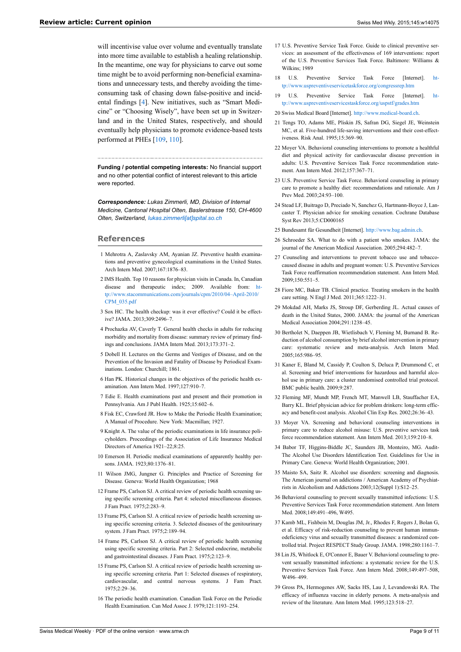<span id="page-8-16"></span><span id="page-8-15"></span><span id="page-8-14"></span>will incentivise value over volume and eventually translate into more time available to establish a healing relationship. In the meantime, one way for physicians to carve out some time might be to avoid performing non-beneficial examinations and unnecessary tests, and thereby avoiding the timeconsuming task of chasing down false-positive and incidental findings [[4](#page-8-3)]. New initiatives, such as "Smart Medicine" or "Choosing Wisely", have been set up in Switzerland and in the United States, respectively, and should eventually help physicians to promote evidence-based tests performed at PHEs [\[109,](#page-10-20) [110](#page-10-21)].

<span id="page-8-20"></span><span id="page-8-19"></span><span id="page-8-18"></span><span id="page-8-17"></span>**Funding / potential competing interests:** No financial support and no other potential conflict of interest relevant to this article were reported.

<span id="page-8-21"></span>*Correspondence: Lukas Zimmerli, MD, Division of Internal Medicine, Cantonal Hospital Olten, Baslerstrasse 150, CH-4600 Olten, Switzerland, [lukas.zimmerli\[at\]spital.so.ch](mailto:lukas.zimmerli@spital.so.ch)*

#### <span id="page-8-23"></span><span id="page-8-22"></span><span id="page-8-0"></span>**References**

- <span id="page-8-24"></span>1 Mehrotra A, Zaslavsky AM, Ayanian JZ. Preventive health examinations and preventive gynecological examinations in the United States. Arch Intern Med. 2007;167:1876–83.
- <span id="page-8-25"></span><span id="page-8-1"></span>2 IMS Health. Top 10 reasons for physician visits in Canada. In, Canadian disease and therapeutic index; 2009. Available from: [ht](http://www.stacommunications.com/journals/cpm/2010/04–April-2010/CPM_035.pdf)[tp://www.stacommunications.com/journals/cpm/2010/04–April-2010/](http://www.stacommunications.com/journals/cpm/2010/04–April-2010/CPM_035.pdf) [CPM\\_035.pdf](http://www.stacommunications.com/journals/cpm/2010/04–April-2010/CPM_035.pdf)
- <span id="page-8-26"></span><span id="page-8-2"></span>3 Sox HC. The health checkup: was it ever effective? Could it be effective? JAMA. 2013;309:2496–7.
- <span id="page-8-27"></span><span id="page-8-3"></span>4 Prochazka AV, Caverly T. General health checks in adults for reducing morbidity and mortality from disease: summary review of primary findings and conclusions. JAMA Intern Med. 2013;173:371–2.
- <span id="page-8-28"></span><span id="page-8-4"></span>5 Dobell H. Lectures on the Germs and Vestiges of Disease, and on the Prevention of the Invasion and Fatality of Disease by Periodical Examinations. London: Churchill; 1861.
- <span id="page-8-5"></span>6 Han PK. Historical changes in the objectives of the periodic health examination. Ann Intern Med. 1997;127:910–7.
- <span id="page-8-29"></span><span id="page-8-6"></span>7 Edie E. Health examinations past and present and their promotion in Pennsylvania. Am J Publ Health. 1925;15:602–6.
- <span id="page-8-7"></span>8 Fisk EC, Crawford JR, How to Make the Periodic Health Examination; A Manual of Procedure. New York: Macmillan; 1927.
- <span id="page-8-30"></span><span id="page-8-8"></span>9 Knight A. The value of the periodic examinations in life insurance policyholders. Proceedings of the Association of Life Insurance Medical Directors of America 1921–22;8:25.
- <span id="page-8-31"></span><span id="page-8-9"></span>10 Emerson H. Periodic medical examinations of apparently healthy persons. JAMA. 1923;80:1376–81.
- <span id="page-8-32"></span><span id="page-8-10"></span>11 Wilson JMG, Jungner G. Principles and Practice of Screening for Disease. Geneva: World Health Organization; 1968
- <span id="page-8-33"></span><span id="page-8-11"></span>12 Frame PS, Carlson SJ. A critical review of periodic health screening using specific screening criteria. Part 4: selected miscellaneous diseases. J Fam Pract. 1975;2:283–9.
- <span id="page-8-34"></span>13 Frame PS, Carlson SJ. A critical review of periodic health screening using specific screening criteria. 3. Selected diseases of the genitourinary system. J Fam Pract. 1975;2:189–94.
- <span id="page-8-35"></span>14 Frame PS, Carlson SJ. A critical review of periodic health screening using specific screening criteria. Part 2: Selected endocrine, metabolic and gastrointestinal diseases. J Fam Pract. 1975;2:123–9.
- <span id="page-8-12"></span>15 Frame PS, Carlson SJ. A critical review of periodic health screening using specific screening criteria. Part 1: Selected diseases of respiratory, cardiovascular, and central nervous systems. J Fam Pract. 1975;2:29–36.
- <span id="page-8-36"></span><span id="page-8-13"></span>16 The periodic health examination. Canadian Task Force on the Periodic Health Examination. Can Med Assoc J. 1979;121:1193–254.
- 17 U.S. Preventive Service Task Force. Guide to clinical preventive services: an assessment of the effectiveness of 169 interventions: report of the U.S. Preventive Services Task Force. Baltimore: Williams & Wilkins; 1989
- 18 U.S. Preventive Service Task Force [Internet]. [ht](http://www.uspreventiveservicetaskforce.org/congressrep.htm)[tp://www.uspreventiveservicetaskforce.org/congressrep.htm](http://www.uspreventiveservicetaskforce.org/congressrep.htm)
- 19 U.S. Preventive Service Task Force [Internet]. [ht](http://www.uspreventiveservicestaskforce.org/uspstf/grades.htm)[tp://www.uspreventiveservicestaskforce.org/uspstf/grades.htm](http://www.uspreventiveservicestaskforce.org/uspstf/grades.htm)
- 20 Swiss Medical Board [Internet]. <http://www.medical-board.ch>.
- 21 Tengs TO, Adams ME, Pliskin JS, Safran DG, Siegel JE, Weinstein MC, et al. Five-hundred life-saving interventions and their cost-effectiveness. Risk Anal. 1995;15:369–90.
- 22 Moyer VA. Behavioral counseling interventions to promote a healthful diet and physical activity for cardiovascular disease prevention in adults: U.S. Preventive Services Task Force recommendation statement. Ann Intern Med. 2012;157:367–71.
- 23 U.S. Preventive Service Task Force. Behavioral counseling in primary care to promote a healthy diet: recommendations and rationale. Am J Prev Med. 2003;24:93–100.
- 24 Stead LF, Buitrago D, Preciado N, Sanchez G, Hartmann-Boyce J, Lancaster T. Physician advice for smoking cessation. Cochrane Database Syst Rev 2013;5:CD000165
- 25 Bundesamt für Gesundheit [Internet]. <http://www.bag.admin.ch>.
- 26 Schroeder SA. What to do with a patient who smokes. JAMA: the journal of the American Medical Association. 2005;294:482–7.
- 27 Counseling and interventions to prevent tobacco use and tobaccocaused disease in adults and pregnant women: U.S. Preventive Services Task Force reaffirmation recommendation statement. Ann Intern Med. 2009;150:551–5.
- 28 Fiore MC, Baker TB. Clinical practice. Treating smokers in the health care setting. N Engl J Med. 2011;365:1222–31.
- 29 Mokdad AH, Marks JS, Stroup DF, Gerberding JL. Actual causes of death in the United States, 2000. JAMA: the journal of the American Medical Association 2004;291:1238–45.
- 30 Bertholet N, Daeppen JB, Wietlisbach V, Fleming M, Burnand B. Reduction of alcohol consumption by brief alcohol intervention in primary care: systematic review and meta-analysis. Arch Intern Med. 2005;165:986–95.
- 31 Kaner E, Bland M, Cassidy P, Coulton S, Deluca P, Drummond C, et al. Screening and brief interventions for hazardous and harmful alcohol use in primary care: a cluster randomised controlled trial protocol. BMC public health. 2009:9:287.
- 32 Fleming MF, Mundt MP, French MT, Manwell LB, Stauffacher EA, Barry KL. Brief physician advice for problem drinkers: long-term efficacy and benefit-cost analysis. Alcohol Clin Exp Res. 2002;26:36–43.
- 33 Moyer VA. Screening and behavioral counseling interventions in primary care to reduce alcohol misuse: U.S. preventive services task force recommendation statement. Ann Intern Med. 2013;159:210–8.
- 34 Babor TF, Higgins-Biddle JC, Saunders JB, Monteiro, MG. Audit-The Alcohol Use Disorders Identification Test. Guidelines for Use in Primary Care. Geneva: World Health Organization; 2001.
- 35 Maisto SA, Saitz R. Alcohol use disorders: screening and diagnosis. The American journal on addictions / American Academy of Psychiatrists in Alcoholism and Addictions 2003;12(Suppl 1):S12–25.
- 36 Behavioral counseling to prevent sexually transmitted infections: U.S. Preventive Services Task Force recommendation statement. Ann Intern Med. 2008;149:491–496, W495.
- 37 Kamb ML, Fishbein M, Douglas JM, Jr., Rhodes F, Rogers J, Bolan G, et al. Efficacy of risk-reduction counseling to prevent human immunodeficiency virus and sexually transmitted diseases: a randomized controlled trial. Project RESPECT Study Group. JAMA. 1998;280:1161–7.
- 38 Lin JS, Whitlock E, O'Connor E, Bauer V. Behavioral counseling to prevent sexually transmitted infections: a systematic review for the U.S. Preventive Services Task Force. Ann Intern Med. 2008;149:497–508, W496–499.
- 39 Gross PA, Hermogenes AW, Sacks HS, Lau J, Levandowski RA. The efficacy of influenza vaccine in elderly persons. A meta-analysis and review of the literature. Ann Intern Med. 1995;123:518–27.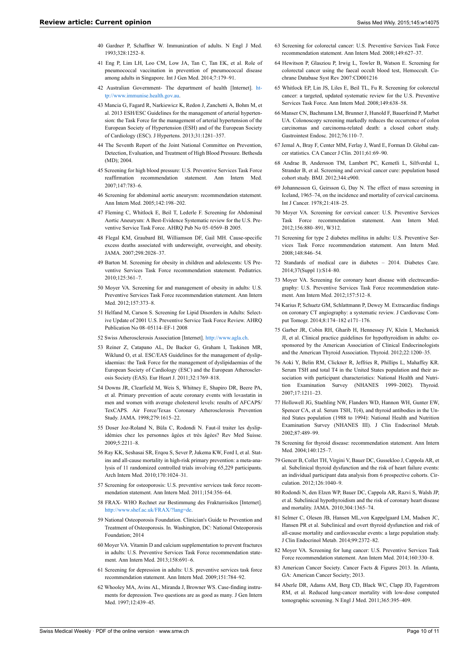- <span id="page-9-0"></span>40 Gardner P, Schaffner W. Immunization of adults. N Engl J Med. 1993;328:1252–8.
- <span id="page-9-1"></span>41 Eng P, Lim LH, Loo CM, Low JA, Tan C, Tan EK, et al. Role of pneumococcal vaccination in prevention of pneumococcal disease among adults in Singapore. Int J Gen Med. 2014;7:179–91.
- <span id="page-9-2"></span>42 Australian Government- The department of health [Internet]. [ht](http://www.immunise.health.gov.au)[tp://www.immunise.health.gov.au](http://www.immunise.health.gov.au).
- <span id="page-9-23"></span><span id="page-9-3"></span>43 Mancia G, Fagard R, Narkiewicz K, Redon J, Zanchetti A, Bohm M, et al. 2013 ESH/ESC Guidelines for the management of arterial hypertension: the Task Force for the management of arterial hypertension of the European Society of Hypertension (ESH) and of the European Society of Cardiology (ESC). J Hypertens. 2013;31:1281–357.
- <span id="page-9-4"></span>44 The Seventh Report of the Joint National Committee on Prevention, Detection, Evaluation, and Treatment of High Blood Pressure. Bethesda (MD): 2004
- <span id="page-9-24"></span><span id="page-9-5"></span>45 Screening for high blood pressure: U.S. Preventive Services Task Force reaffirmation recommendation statement. Ann Intern Med. 2007;147:783–6.
- <span id="page-9-25"></span><span id="page-9-6"></span>46 Screening for abdominal aortic aneurysm: recommendation statement. Ann Intern Med. 2005;142:198–202.
- <span id="page-9-7"></span>47 Fleming C, Whitlock E, Beil T, Lederle F. Screening for Abdominal Aortic Aneurysm: A Best-Evidence Systematic review for the U.S. Preventive Service Task Force. AHRQ Pub No 05–0569–B 2005.
- <span id="page-9-8"></span>48 Flegal KM, Graubard BI, Williamson DF, Gail MH. Cause-specific excess deaths associated with underweight, overweight, and obesity. JAMA. 2007;298:2028–37.
- <span id="page-9-9"></span>49 Barton M. Screening for obesity in children and adolescents: US Preventive Services Task Force recommendation statement. Pediatrics. 2010;125:361–7.
- <span id="page-9-26"></span><span id="page-9-10"></span>50 Moyer VA. Screening for and management of obesity in adults: U.S. Preventive Services Task Force recommendation statement. Ann Intern Med. 2012;157:373–8.
- <span id="page-9-27"></span><span id="page-9-11"></span>51 Helfand M, Carson S. Screening for Lipid Disorders in Adults: Selective Undate of 2001 U.S. Preventive Service Task Force Review. AHRQ Publication No 08–05114–EF-1 2008
- <span id="page-9-28"></span><span id="page-9-13"></span><span id="page-9-12"></span>52 Swiss Atherosclerosis Association [Internet]. <http://www.agla.ch>.
- <span id="page-9-29"></span>53 Reiner Z, Catapano AL, De Backer G, Graham I, Taskinen MR, Wiklund O, et al. ESC/EAS Guidelines for the management of dyslinidaemias: the Task Force for the management of dyslipidaemias of the European Society of Cardiology (ESC) and the European Atherosclerosis Society (EAS). Eur Heart J. 2011;32:1769–818.
- <span id="page-9-14"></span>54 Downs JR, Clearfield M, Weis S, Whitney E, Shapiro DR, Beere PA, et al. Primary prevention of acute coronary events with lovastatin in men and women with average cholesterol levels: results of AFCAPS/ TexCAPS. Air Force/Texas Coronary Atherosclerosis Prevention Study. JAMA. 1998;279:1615–22.
- <span id="page-9-15"></span>55 Doser Joz-Roland N, Büla C, Rodondi N. Faut-il traiter les dyslipidémies chez les personnes âgées et très âgées? Rev Med Suisse. 2009;5:2211–8.
- <span id="page-9-31"></span><span id="page-9-30"></span><span id="page-9-16"></span>56 Ray KK, Seshasai SR, Erqou S, Sever P, Jukema KW, Ford I, et al. Statins and all-cause mortality in high-risk primary prevention: a meta-analysis of 11 randomized controlled trials involving 65,229 participants. Arch Intern Med. 2010;170:1024–31.
- <span id="page-9-32"></span><span id="page-9-17"></span>57 Screening for osteoporosis: U.S. preventive services task force recommendation statement. Ann Intern Med. 2011;154:356–64.
- <span id="page-9-18"></span>58 FRAX- WHO Rechnet zur Bestimmung des Frakturrisikos [Internet]. <http://www.shef.ac.uk/FRAX/?lang=de>.
- <span id="page-9-33"></span><span id="page-9-19"></span>59 National Osteoporosis Foundation. Clinician's Guide to Prevention and Treatment of Osteoporosis. In. Washington, DC: National Osteoporosis Foundation; 2014
- <span id="page-9-34"></span><span id="page-9-20"></span>60 Moyer VA. Vitamin D and calcium supplementation to prevent fractures in adults: U.S. Preventive Services Task Force recommendation statement. Ann Intern Med. 2013;158:691–6.
- <span id="page-9-35"></span><span id="page-9-21"></span>61 Screening for depression in adults: U.S. preventive services task force recommendation statement. Ann Intern Med. 2009;151:784–92.
- <span id="page-9-36"></span><span id="page-9-22"></span>62 Whooley MA, Avins AL, Miranda J, Browner WS. Case-finding instruments for depression. Two questions are as good as many. J Gen Intern Med. 1997;12:439–45.
- 63 Screening for colorectal cancer: U.S. Preventive Services Task Force recommendation statement. Ann Intern Med. 2008;149:627–37.
- 64 Hewitson P, Glasziou P, Irwig L, Towler B, Watson E. Screening for colorectal cancer using the faecal occult blood test, Hemoccult. Cochrane Database Syst Rev 2007:CD001216
- 65 Whitlock EP, Lin JS, Liles E, Beil TL, Fu R. Screening for colorectal cancer: a targeted, updated systematic review for the U.S. Preventive Services Task Force. Ann Intern Med. 2008;149:638–58.
- 66 Manser CN, Bachmann LM, Brunner J, Hunold F, Bauerfeind P, Marbet UA. Colonoscopy screening markedly reduces the occurrence of colon carcinomas and carcinoma-related death: a closed cohort study. Gastrointest Endosc. 2012;76:110–7.
- 67 Jemal A, Bray F, Center MM, Ferlay J, Ward E, Forman D. Global cancer statistics. CA Cancer J Clin. 2011;61:69–90.
- 68 Andrae B, Andersson TM, Lambert PC, Kemetli L, Silfverdal L, Strander B, et al. Screening and cervical cancer cure: population based cohort study. BMJ. 2012;344:e900.
- 69 Johannesson G, Geirsson G, Day N. The effect of mass screening in Iceland, 1965–74, on the incidence and mortality of cervical carcinoma. Int J Cancer. 1978;21:418–25.
- 70 Moyer VA. Screening for cervical cancer: U.S. Preventive Services Task Force recommendation statement. Ann Intern Med. 2012;156:880–891, W312.
- 71 Screening for type 2 diabetes mellitus in adults: U.S. Preventive Services Task Force recommendation statement. Ann Intern Med. 2008;148:846–54.
- 72 Standards of medical care in diabetes 2014. Diabetes Care. 2014;37(Suppl 1):S14–80.
- 73 Moyer VA. Screening for coronary heart disease with electrocardiography: U.S. Preventive Services Task Force recommendation statement. Ann Intern Med. 2012;157:512–8.
- 74 Karius P, Schuetz GM, Schlattmann P, Dewey M. Extracardiac findings on coronary CT angiography: a systematic review. J Cardiovasc Comput Tomogr. 2014;8:174–182 e171–176.
- 75 Garber JR, Cobin RH, Gharib H, Hennessey JV, Klein I, Mechanick JI, et al. Clinical practice guidelines for hypothyroidism in adults: cosponsored by the American Association of Clinical Endocrinologists and the American Thyroid Association. Thyroid. 2012;22:1200–35.
- 76 Aoki Y, Belin RM, Clickner R, Jeffries R, Phillips L, Mahaffey KR. Serum TSH and total T4 in the United States population and their association with participant characteristics: National Health and Nutrition Examination Survey (NHANES 1999–2002). Thyroid. 2007;17:1211–23.
- 77 Hollowell JG, Staehling NW, Flanders WD, Hannon WH, Gunter EW, Spencer CA, et al. Serum TSH, T(4), and thyroid antibodies in the United States population (1988 to 1994): National Health and Nutrition Examination Survey (NHANES III). J Clin Endocrinol Metab. 2002;87:489–99.
- 78 Screening for thyroid disease: recommendation statement. Ann Intern Med. 2004;140:125–7.
- 79 Gencer B, Collet TH, Virgini V, Bauer DC, Gussekloo J, Cappola AR, et al. Subclinical thyroid dysfunction and the risk of heart failure events: an individual participant data analysis from 6 prospective cohorts. Circulation. 2012;126:1040–9.
- 80 Rodondi N, den Elzen WP, Bauer DC, Cappola AR, Razvi S, Walsh JP, et al. Subclinical hypothyroidism and the risk of coronary heart disease and mortality. JAMA. 2010;304:1365–74.
- 81 Selmer C, Olesen JB, Hansen ML,von Kappelgaard LM, Madsen JC, Hansen PR et al. Subclinical and overt thyroid dysfunction and risk of all-cause mortality and cardiovascular events: a large population study. J Clin Endocrinol Metab. 2014;99:2372–82.
- 82 Moyer VA. Screening for lung cancer: U.S. Preventive Services Task Force recommendation statement. Ann Intern Med. 2014;160:330–8.
- 83 American Cancer Society. Cancer Facts & Figures 2013. In. Atlanta, GA: American Cancer Society; 2013.
- 84 Aberle DR, Adams AM, Berg CD, Black WC, Clapp JD, Fagerstrom RM, et al. Reduced lung-cancer mortality with low-dose computed tomographic screening. N Engl J Med. 2011;365:395–409.